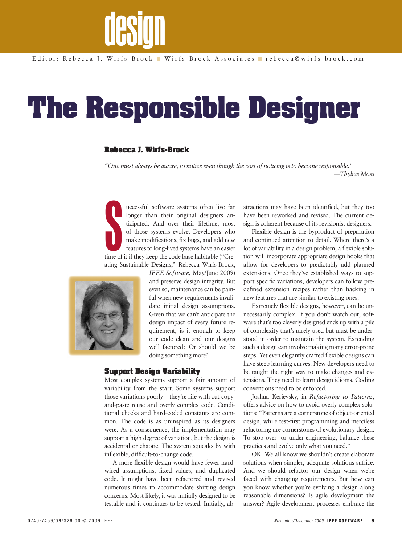

# **The Responsible Designer**

### **Rebecca J. Wirfs-Brock**

*"One must always be aware, to notice even though the cost of noticing is to become responsible." —Thylias Moss*

Stime of uccessful software systems often live far longer than their original designers anticipated. And over their lifetime, most of those systems evolve. Developers who make modifications, fix bugs, and add new features to long-lived systems have an easier time of it if they keep the code base habitable ("Creating Sustainable Designs," Rebecca Wirfs-Brock,



*IEEE Software*, May/June 2009) and preserve design integrity. But even so, maintenance can be painful when new requirements invalidate initial design assumptions. Given that we can't anticipate the design impact of every future requirement, is it enough to keep our code clean and our designs well factored? Or should we be doing something more?

#### **Support Design Variability**

Most complex systems support a fair amount of variability from the start. Some systems support those variations poorly—they're rife with cut-copyand-paste reuse and overly complex code. Conditional checks and hard-coded constants are common. The code is as uninspired as its designers were. As a consequence, the implementation may support a high degree of variation, but the design is accidental or chaotic. The system squeaks by with inflexible, difficult-to-change code.

A more flexible design would have fewer hardwired assumptions, fixed values, and duplicated code. It might have been refactored and revised numerous times to accommodate shifting design concerns. Most likely, it was initially designed to be testable and it continues to be tested. Initially, ab-

stractions may have been identified, but they too have been reworked and revised. The current design is coherent because of its revisionist designers.

Flexible design is the byproduct of preparation and continued attention to detail. Where there's a lot of variability in a design problem, a flexible solution will incorporate appropriate design hooks that allow for developers to predictably add planned extensions. Once they've established ways to support specific variations, developers can follow predefined extension recipes rather than hacking in new features that are similar to existing ones.

Extremely flexible designs, however, can be unnecessarily complex. If you don't watch out, software that's too cleverly designed ends up with a pile of complexity that's rarely used but must be understood in order to maintain the system. Extending such a design can involve making many error-prone steps. Yet even elegantly crafted flexible designs can have steep learning curves. New developers need to be taught the right way to make changes and extensions. They need to learn design idioms. Coding conventions need to be enforced.

Joshua Kerievsky, in *Refactoring to Patterns*, offers advice on how to avoid overly complex solutions: "Patterns are a cornerstone of object-oriented design, while test-first programming and merciless refactoring are cornerstones of evolutionary design. To stop over- or under-engineering, balance these practices and evolve only what you need."

OK. We all know we shouldn't create elaborate solutions when simpler, adequate solutions suffice. And we should refactor our design when we're faced with changing requirements. But how can you know whether you're evolving a design along reasonable dimensions? Is agile development the answer? Agile development processes embrace the